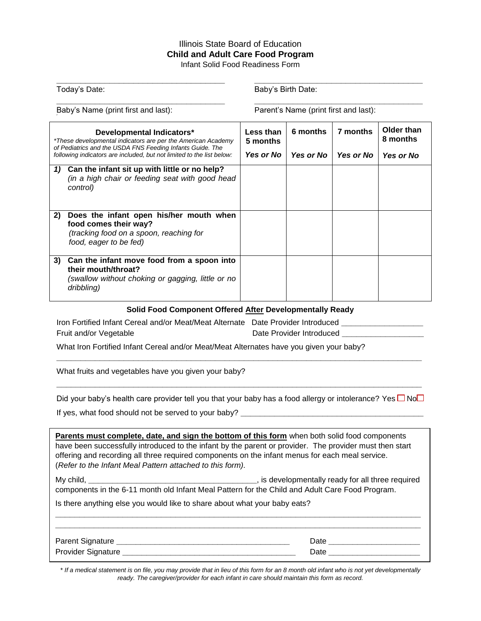## Illinois State Board of Education **Child and Adult Care Food Program**

Infant Solid Food Readiness Form **\_\_\_\_\_\_\_\_\_\_\_\_\_\_\_\_\_\_\_\_\_\_\_\_\_\_\_\_\_\_\_\_\_\_\_ \_\_\_\_\_\_\_\_\_\_\_\_\_\_\_\_\_\_\_\_\_\_\_\_\_\_\_\_\_\_\_\_\_\_\_**

Today's Date: Today's Birth Date:

**\_\_\_\_\_\_\_\_\_\_\_\_\_\_\_\_\_\_\_\_\_\_\_\_\_\_\_\_\_\_\_\_\_\_\_ \_\_\_\_\_\_\_\_\_\_\_\_\_\_\_\_\_\_\_\_\_\_\_\_\_\_\_\_\_\_\_\_\_\_\_** Baby's Name (print first and last): Parent's Name (print first and last): **Developmental Indicators\*** *\*These developmental indicators are per the American Academy of Pediatrics and the USDA FNS Feeding Infants Guide. The following indicators are included, but not limited to the list below:* **Less than 5 months** *Yes or No* **6 months** *Yes or No* **7 months** *Yes or No* **Older than 8 months** *Yes or No 1)* **Can the infant sit up with little or no help?** *(in a high chair or feeding seat with good head control)*  **2) Does the infant open his/her mouth when food comes their way?** *(tracking food on a spoon, reaching for food, eager to be fed)* **3) Can the infant move food from a spoon into their mouth/throat?** *(swallow without choking or gagging, little or no dribbling)* **Solid Food Component Offered After Developmentally Ready** Iron Fortified Infant Cereal and/or Meat/Meat Alternate Date Provider Introduced **\_\_\_\_\_\_\_\_\_\_\_\_\_\_\_\_\_** Fruit and/or Vegetable **Date Provider Introduced Date Provider Introduced** What Iron Fortified Infant Cereal and/or Meat/Meat Alternates have you given your baby? **\_\_\_\_\_\_\_\_\_\_\_\_\_\_\_\_\_\_\_\_\_\_\_\_\_\_\_\_\_\_\_\_\_\_\_\_\_\_\_\_\_\_\_\_\_\_\_\_\_\_\_\_\_\_\_\_\_\_\_\_\_\_\_\_\_\_\_\_\_\_\_\_\_\_\_\_** What fruits and vegetables have you given your baby? **\_\_\_\_\_\_\_\_\_\_\_\_\_\_\_\_\_\_\_\_\_\_\_\_\_\_\_\_\_\_\_\_\_\_\_\_\_\_\_\_\_\_\_\_\_\_\_\_\_\_\_\_\_\_\_\_\_\_\_\_\_\_\_\_\_\_\_\_\_\_\_\_\_\_\_\_** Did your baby's health care provider tell you that your baby has a food allergy or intolerance? Yes  $\Box$  No $\Box$ If yes, what food should not be served to your baby? **\_\_\_\_\_\_\_\_\_\_\_\_\_\_\_\_\_\_\_\_\_\_\_\_\_\_\_\_\_\_\_\_\_\_\_\_\_\_ Parents must complete, date, and sign the bottom of this form** when both solid food components have been successfully introduced to the infant by the parent or provider. The provider must then start offering and recording all three required components on the infant menus for each meal service. (*Refer to the Infant Meal Pattern attached to this form).* My child, **\_\_\_\_\_\_\_\_\_\_\_\_\_\_\_\_\_\_\_\_\_\_\_\_\_\_\_\_\_\_\_\_\_\_\_**, is developmentally ready for all three required components in the 6-11 month old Infant Meal Pattern for the Child and Adult Care Food Program. Is there anything else you would like to share about what your baby eats? **\_\_\_\_\_\_\_\_\_\_\_\_\_\_\_\_\_\_\_\_\_\_\_\_\_\_\_\_\_\_\_\_\_\_\_\_\_\_\_\_\_\_\_\_\_\_\_\_\_\_\_\_\_\_\_\_\_\_\_\_\_\_\_\_\_\_\_\_\_\_\_\_\_\_\_\_ \_\_\_\_\_\_\_\_\_\_\_\_\_\_\_\_\_\_\_\_\_\_\_\_\_\_\_\_\_\_\_\_\_\_\_\_\_\_\_\_\_\_\_\_\_\_\_\_\_\_\_\_\_\_\_\_\_\_\_\_\_\_\_\_\_\_\_\_\_\_\_\_\_\_\_\_** Parent Signature **\_\_\_\_\_\_\_\_\_\_\_\_\_\_\_\_\_\_\_\_\_\_\_\_\_\_\_\_\_\_\_\_\_\_\_\_** Date **\_\_\_\_\_\_\_\_\_\_\_\_\_\_\_\_\_\_\_** Provider Signature **\_\_\_\_\_\_\_\_\_\_\_\_\_\_\_\_\_\_\_\_\_\_\_\_\_\_\_\_\_\_\_\_\_\_\_\_** Date **\_\_\_\_\_\_\_\_\_\_\_\_\_\_\_\_\_\_\_**

*\* If a medical statement is on file, you may provide that in lieu of this form for an 8 month old infant who is not yet developmentally ready. The caregiver/provider for each infant in care should maintain this form as record.*